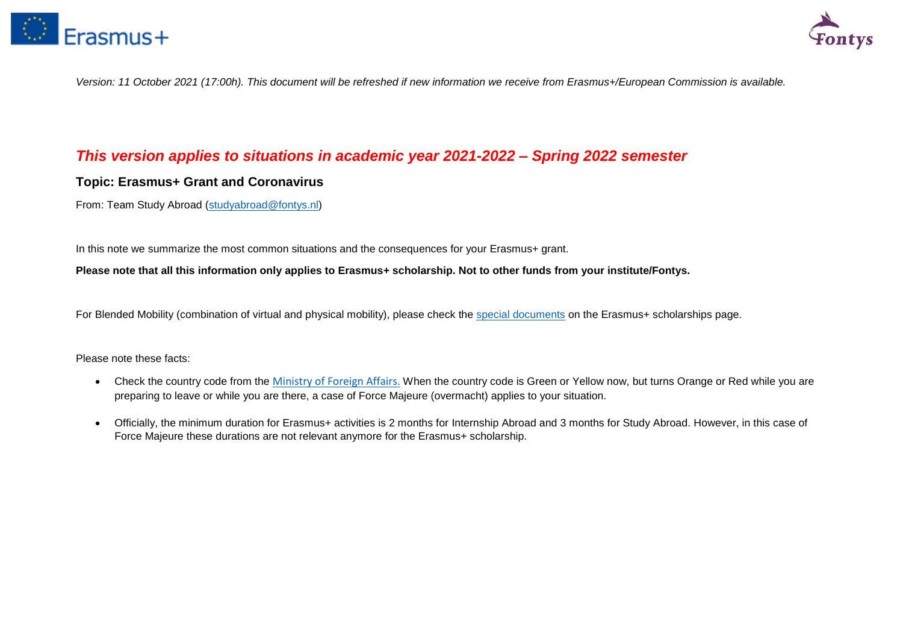



*Version: 11 October 2021 (17:00h). This document will be refreshed if new information we receive from Erasmus+/European Commission is available.* 

# *This version applies to situations in academic year 2021-2022 – Spring 2022 semester*

# **Topic: Erasmus+ Grant and Coronavirus**

From: Team Study Abroad [\(studyabroad@fontys.nl\)](mailto:studyabroad@fontys.nl)

In this note we summarize the most common situations and the consequences for your Erasmus+ grant.

**Please note that all this information only applies to Erasmus+ scholarship. Not to other funds from your institute/Fontys.**

For Blended Mobility (combination of virtual and physical mobility), please check the [special documents](https://fontys.edu/Study-abroad-4/Scholarships-23/Erasmus-Scholarships.htm) on the Erasmus+ scholarships page.

Please note these facts:

- Check the country code from the [Ministry of Foreign Affairs.](https://www.nederlandwereldwijd.nl/reizen/reisadviezen) When the country code is Green or Yellow now, but turns Orange or Red while you are preparing to leave or while you are there, a case of Force Majeure (overmacht) applies to your situation.
- Officially, the minimum duration for Erasmus+ activities is 2 months for Internship Abroad and 3 months for Study Abroad. However, in this case of Force Majeure these durations are not relevant anymore for the Erasmus+ scholarship.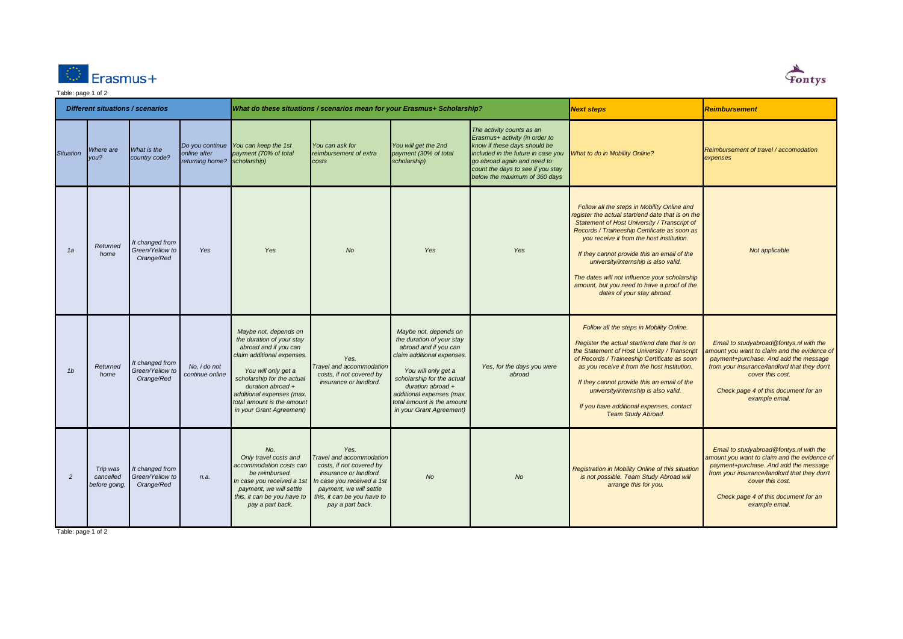



#### Table: page 1 of 2 *Next steps Reimbursement Situation Where are you? What is the country code? Do you continue You can keep the 1st online after returning home? payment (70% of total scholarship) You can ask for reimbursement of extra costs You will get the 2nd payment (30% of total scholarship) The activity counts as an Erasmus+ activity (in order to know if these days should be included in the future in case you go abroad again and need to count the days to see if you stay below the maximum of 360 days What to do in Mobility Online? Reimbursement of travel / accomodation expenses Registration in Mobility Online of this situation is not possible. Team Study Abroad will arrange this for you. Email to studyabroad@fontys.nl with the amount you want to claim and the evidence of payment+purchase. And add the message from your insurance/landlord that they don't cover this cost. Check page 4 of this document for an example email. Follow all the steps in Mobility Online. Register the actual start/end date that is on the Statement of Host University / Transcript of Records / Traineeship Certificate as soon as you receive it from the host institution. If they cannot provide this an email of the university/internship is also valid. If you have additional expenses, contact Team Study Abroad. Email to studyabroad@fontys.nl with the amount you want to claim and the evidence of payment+purchase. And add the message from your insurance/landlord that they don't cover this cost. Check page 4 of this document for an example email. 2 Trip was cancelled before going. It changed from Green/Yellow to Orange/Red n.a. No. Only travel costs and accommodation costs can be reimbursed. In case you received a 1st payment, we will settle this, it can be you have to pay a part back. Yes. Travel and accommodation costs, if not covered by insurance or landlord. In case you received a 1st payment, we will settle this, it can be you have to pay a part back. No No Follow all the steps in Mobility Online and register the actual start/end date that is on the Statement of Host University / Transcript of Records / Traineeship Certificate as soon as you receive it from the host institution. If they cannot provide this an email of the university/internship is also valid. The dates will not influence your scholarship amount, but you need to have a proof of the dates of your stay abroad. Not applicable 1b Returned home It changed from Green/Yellow to Orange/Red No, i do not continue online Maybe not, depends on the duration of your stay abroad and if you can claim additional expenses. You will only get a scholarship for the actual duration abroad + additional expenses (max. total amount is the amount in your Grant Agreement) Yes. Travel and accommodation costs, if not covered by insurance or landlord. Maybe not, depends on the duration of your stay abroad and if you can claim additional expenses. You will only get a scholarship for the actual duration abroad + additional expenses (max. total amount is the amount in your Grant Agreement) Yes, for the days you were abroad Different situations / scenarios What do these situations / scenarios mean for your Erasmus+ Scholarship? 1a Returned home It changed from Green/Yellow to Orange/Red Yes Yes No Yes Yes*

Table: page 1 of 2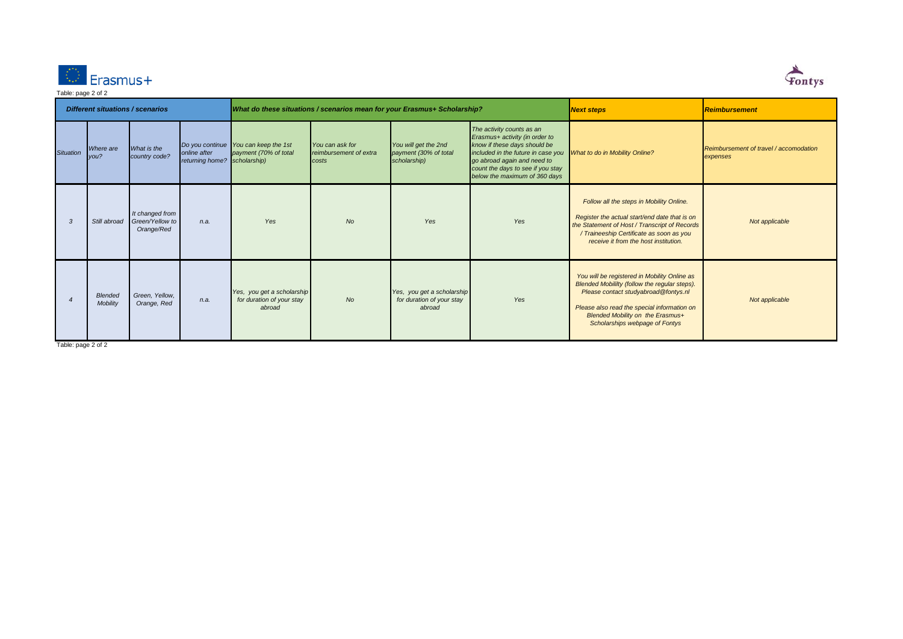



| <b>Different situations / scenarios</b> |                            |                                                  |                                              | What do these situations / scenarios mean for your Erasmus+ Scholarship? |                                                    |                                                                   |                                                                                                                                                                                                                                        | <b>Next steps</b>                                                                                                                                                                                                                                          | Reimbursement                                      |
|-----------------------------------------|----------------------------|--------------------------------------------------|----------------------------------------------|--------------------------------------------------------------------------|----------------------------------------------------|-------------------------------------------------------------------|----------------------------------------------------------------------------------------------------------------------------------------------------------------------------------------------------------------------------------------|------------------------------------------------------------------------------------------------------------------------------------------------------------------------------------------------------------------------------------------------------------|----------------------------------------------------|
| <b>Situation</b>                        | Where are<br>you?          | What is the<br>country code?                     | online after<br>returning home? scholarship) | Do you continue You can keep the 1st<br>payment (70% of total            | You can ask for<br>reimbursement of extra<br>costs | You will get the 2nd<br>payment (30% of total<br>scholarship)     | The activity counts as an<br>Erasmus+ activity (in order to<br>know if these days should be<br>included in the future in case you<br>go abroad again and need to<br>count the days to see if you stay<br>below the maximum of 360 days | What to do in Mobility Online?                                                                                                                                                                                                                             | Reimbursement of travel / accomodation<br>expenses |
| 3                                       | Still abroad               | It changed from<br>Green/Yellow to<br>Orange/Red | n.a.                                         | Yes                                                                      | No                                                 | Yes                                                               | Yes                                                                                                                                                                                                                                    | Follow all the steps in Mobility Online.<br>Register the actual start/end date that is on<br>the Statement of Host / Transcript of Records<br>/ Traineeship Certificate as soon as you<br>receive it from the host institution.                            | Not applicable                                     |
|                                         | <b>Blended</b><br>Mobility | Green, Yellow,<br>Orange, Red                    | n.a.                                         | Yes, you get a scholarship<br>for duration of your stay<br>abroad        | No                                                 | Yes, you get a scholarship<br>for duration of your stay<br>abroad | Yes                                                                                                                                                                                                                                    | You will be registered in Mobility Online as<br>Blended Mobililty (follow the regular steps).<br>Please contact studyabroad@fontys.nl<br>Please also read the special information on<br>Blended Mobility on the Erasmus+<br>Scholarships webpage of Fontys | Not applicable                                     |

Table: page 2 of 2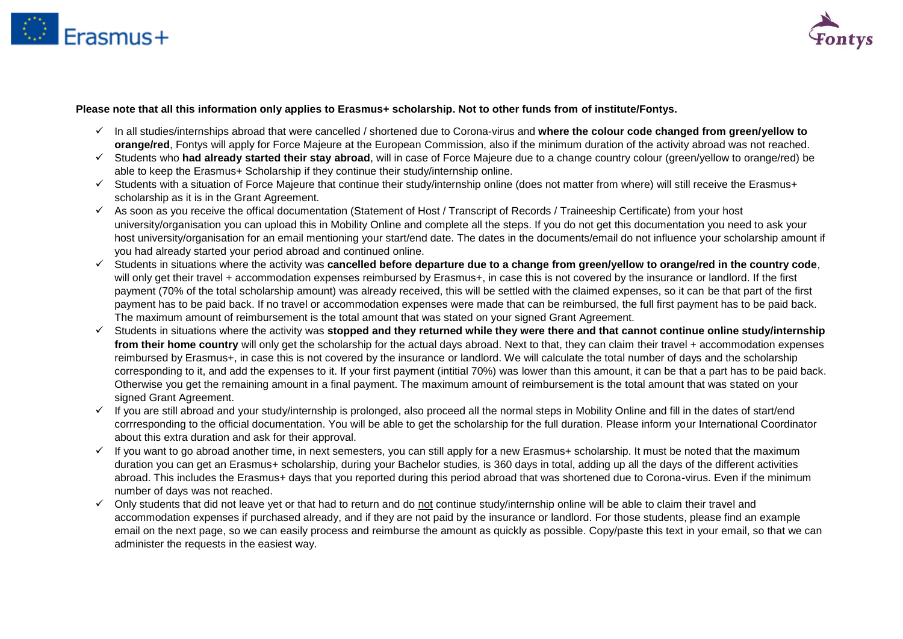



### **Please note that all this information only applies to Erasmus+ scholarship. Not to other funds from of institute/Fontys.**

- In all studies/internships abroad that were cancelled / shortened due to Corona-virus and **where the colour code changed from green/yellow to orange/red**, Fontys will apply for Force Majeure at the European Commission, also if the minimum duration of the activity abroad was not reached.
- Students who **had already started their stay abroad**, will in case of Force Majeure due to a change country colour (green/yellow to orange/red) be able to keep the Erasmus+ Scholarship if they continue their study/internship online.
- $\checkmark$  Students with a situation of Force Majeure that continue their study/internship online (does not matter from where) will still receive the Erasmus+ scholarship as it is in the Grant Agreement.
- $\checkmark$  As soon as you receive the offical documentation (Statement of Host / Transcript of Records / Traineeship Certificate) from your host university/organisation you can upload this in Mobility Online and complete all the steps. If you do not get this documentation you need to ask your host university/organisation for an email mentioning your start/end date. The dates in the documents/email do not influence your scholarship amount if you had already started your period abroad and continued online.
- Students in situations where the activity was **cancelled before departure due to a change from green/yellow to orange/red in the country code**, will only get their travel + accommodation expenses reimbursed by Erasmus+, in case this is not covered by the insurance or landlord. If the first payment (70% of the total scholarship amount) was already received, this will be settled with the claimed expenses, so it can be that part of the first payment has to be paid back. If no travel or accommodation expenses were made that can be reimbursed, the full first payment has to be paid back. The maximum amount of reimbursement is the total amount that was stated on your signed Grant Agreement.
- Students in situations where the activity was **stopped and they returned while they were there and that cannot continue online study/internship**  from their home country will only get the scholarship for the actual days abroad. Next to that, they can claim their travel + accommodation expenses reimbursed by Erasmus+, in case this is not covered by the insurance or landlord. We will calculate the total number of days and the scholarship corresponding to it, and add the expenses to it. If your first payment (intitial 70%) was lower than this amount, it can be that a part has to be paid back. Otherwise you get the remaining amount in a final payment. The maximum amount of reimbursement is the total amount that was stated on your signed Grant Agreement.
- $\checkmark$  If you are still abroad and your study/internship is prolonged, also proceed all the normal steps in Mobility Online and fill in the dates of start/end corrresponding to the official documentation. You will be able to get the scholarship for the full duration. Please inform your International Coordinator about this extra duration and ask for their approval.
- $\checkmark$  If you want to go abroad another time, in next semesters, you can still apply for a new Erasmus+ scholarship. It must be noted that the maximum duration you can get an Erasmus+ scholarship, during your Bachelor studies, is 360 days in total, adding up all the days of the different activities abroad. This includes the Erasmus+ days that you reported during this period abroad that was shortened due to Corona-virus. Even if the minimum number of days was not reached.
- $\checkmark$  Only students that did not leave vet or that had to return and do not continue study/internship online will be able to claim their travel and accommodation expenses if purchased already, and if they are not paid by the insurance or landlord. For those students, please find an example email on the next page, so we can easily process and reimburse the amount as quickly as possible. Copy/paste this text in your email, so that we can administer the requests in the easiest way.